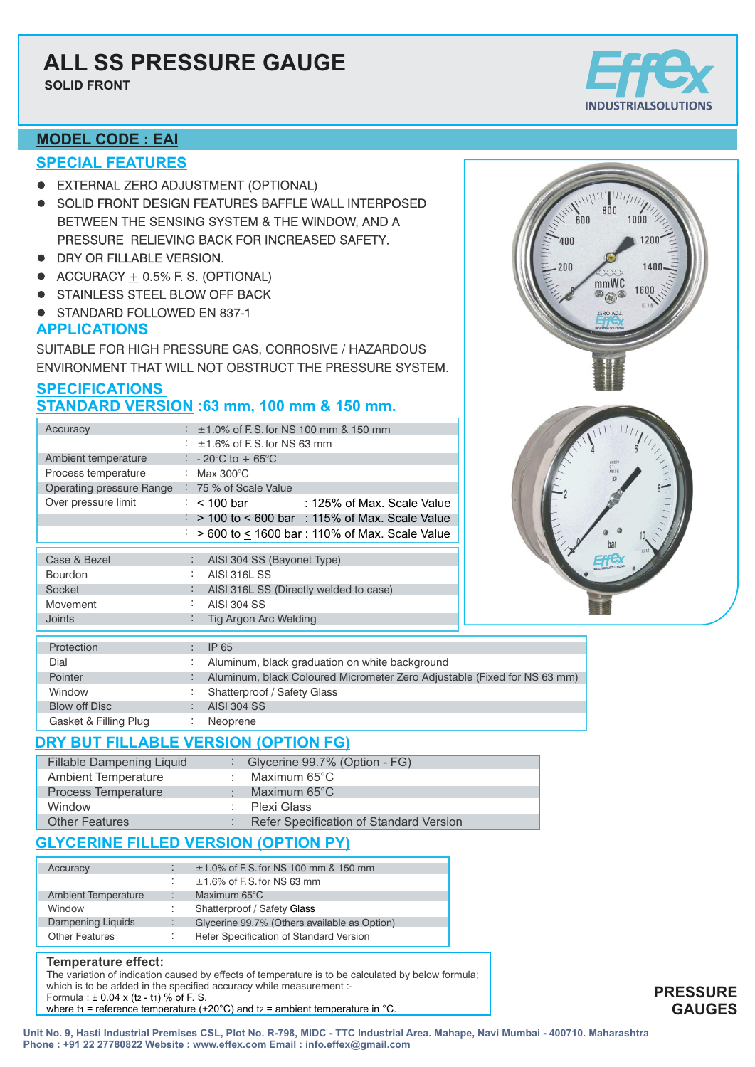# **ALL SS PRESSURE GAUGE**

**SOLID FRONT**



800

mmWC

 $\circledR$ 

 $1000$ 

 $1200$ 

1600

 $600$ 

ann<sup>-</sup>

200

### **MODEL CODE : EAI**

### **SPECIAL FEATURES**

- **EXTERNAL ZERO ADJUSTMENT (OPTIONAL)**
- SOLID FRONT DESIGN FEATURES BAFFLE WALL INTERPOSED BETWEEN THE SENSING SYSTEM & THE WINDOW, AND A PRESSURE RELIEVING BACK FOR INCREASED SAFETY.
- DRY OR FILLABLE VERSION.
- $\bullet$  ACCURACY + 0.5% F. S. (OPTIONAL)
- STAINLESS STEEL BLOW OFF BACK
- STANDARD FOLLOWED EN 837-1

### **APPLICATIONS**

SUITABLE FOR HIGH PRESSURE GAS, CORROSIVE / HAZARDOUS ENVIRONMENT THAT WILL NOT OBSTRUCT THE PRESSURE SYSTEM.

### **SPECIFICATIONS STANDARD VERSION :63 mm, 100 mm & 150 mm.**

| Accuracy                                       | $\pm$ 1.0% of F.S. for NS 100 mm & 150 mm                                |  |
|------------------------------------------------|--------------------------------------------------------------------------|--|
|                                                | $\pm$ 1.6% of F.S. for NS 63 mm                                          |  |
| Ambient temperature                            | : $-20^{\circ}$ C to $+65^{\circ}$ C                                     |  |
| Process temperature                            | Max 300 $^{\circ}$ C                                                     |  |
| Operating pressure Range : 75 % of Scale Value |                                                                          |  |
| Over pressure limit                            | $\frac{1}{1}$ < 100 bar : 125% of Max. Scale Value                       |  |
|                                                | $\frac{1}{2}$ > 100 to < 600 bar : 115% of Max. Scale Value              |  |
|                                                | > 600 to < 1600 bar: 110% of Max. Scale Value                            |  |
|                                                |                                                                          |  |
| Case & Bezel                                   | AISI 304 SS (Bayonet Type)                                               |  |
| <b>Bourdon</b>                                 | <b>AISI 316L SS</b>                                                      |  |
| Socket                                         | AISI 316L SS (Directly welded to case)                                   |  |
| Movement                                       | AISI 304 SS                                                              |  |
| <b>Joints</b>                                  | Tig Argon Arc Welding                                                    |  |
|                                                |                                                                          |  |
| Protection                                     | IP 65                                                                    |  |
| Dial                                           | Aluminum, black graduation on white background                           |  |
| <b>Pointer</b>                                 | Aluminum, black Coloured Micrometer Zero Adjustable (Fixed for NS 63 mm) |  |
| Window                                         | Shatterproof / Safety Glass                                              |  |
| <b>Blow off Disc</b>                           | <b>AISI 304 SS</b>                                                       |  |
| Gasket & Filling Plug                          | Neoprene                                                                 |  |

### **DRY BUT FILLABLE VERSION (OPTION FG)**

| <b>Fillable Dampening Liquid</b> | : Glycerine $99.7\%$ (Option - FG)      |  |
|----------------------------------|-----------------------------------------|--|
| <b>Ambient Temperature</b>       | : Maximum $65^{\circ}$ C                |  |
| <b>Process Temperature</b>       | : Maximum $65^{\circ}$ C                |  |
| Window                           | : Plexi Glass                           |  |
| <b>Other Features</b>            | Refer Specification of Standard Version |  |

### **GLYCERINE FILLED VERSION (OPTION PY)**

| Accuracy                   | $±1.0\%$ of F.S. for NS 100 mm & 150 mm      |
|----------------------------|----------------------------------------------|
|                            | $\pm$ 1.6% of F.S. for NS 63 mm              |
| <b>Ambient Temperature</b> | Maximum $65^{\circ}$ C                       |
| Window                     | Shatterproof / Safety Glass                  |
| Dampening Liquids          | Glycerine 99.7% (Others available as Option) |
| <b>Other Features</b>      | Refer Specification of Standard Version      |

#### **Temperature effect:**

The variation of indication caused by effects of temperature is to be calculated by below formula; which is to be added in the specified accuracy while measurement :-Formula :  $\pm 0.04 \times (t_2 - t_1)$  % of F. S. where t<sub>1</sub> = reference temperature (+20°C) and t<sub>2</sub> = ambient temperature in °C.

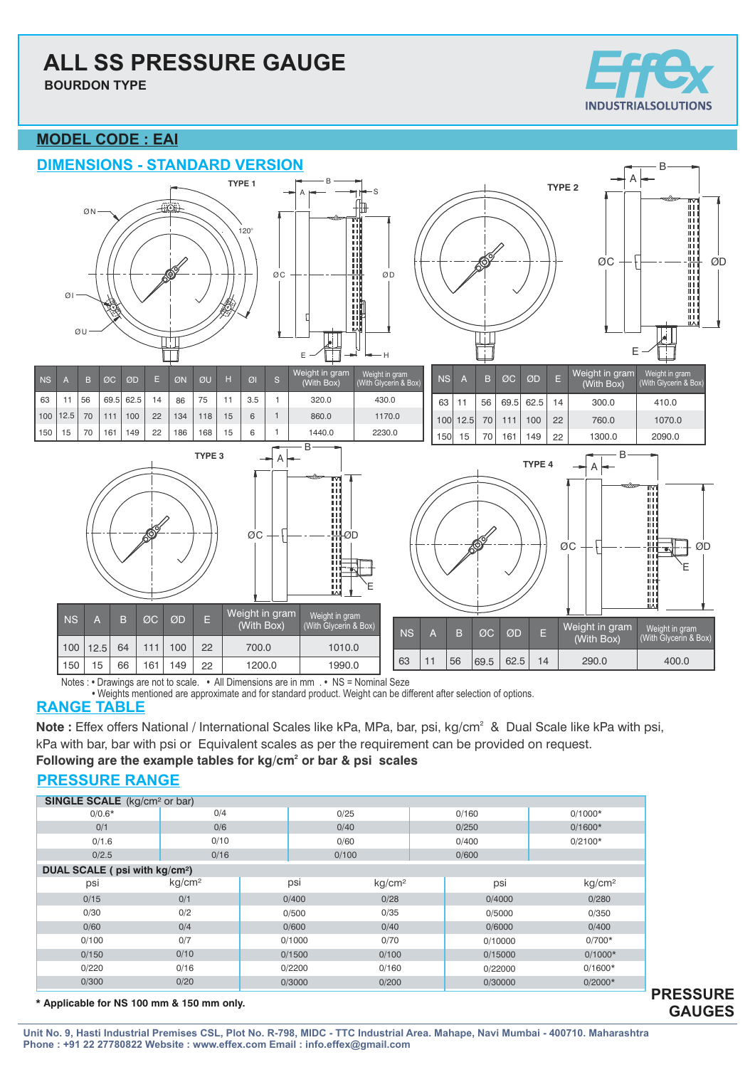# **ALL SS PRESSURE GAUGE**

**BOURDON TYPE**



**PRESSURE GAUGES**

### **MODEL CODE : EAI**



Notes : **•** Drawings are not to scale. **•** All Dimensions are in mm . **•** NS = Nominal Seze

**•** Weights mentioned are approximate and for standard product. Weight can be different after selection of options.

### **RANGE TABLE**

Note : Effex offers National / International Scales like kPa, MPa, bar, psi, kg/cm<sup>2</sup> & Dual Scale like kPa with psi, kPa with bar, bar with psi or Equivalent scales as per the requirement can be provided on request.

Following are the example tables for kg/cm<sup>2</sup> or bar & psi scales

### **PRESSURE RANGE**

| <b>SINGLE SCALE</b> (kg/cm <sup>2</sup> or bar) |                    |  |                 |                    |       |         |                    |  |  |  |
|-------------------------------------------------|--------------------|--|-----------------|--------------------|-------|---------|--------------------|--|--|--|
| $0/0.6*$                                        | 0/4                |  | 0/25            |                    |       | 0/160   | $0/1000*$          |  |  |  |
| 0/1                                             | 0/6                |  |                 | 0/40               |       | 0/250   | $0/1600*$          |  |  |  |
| 0/1.6                                           | 0/10               |  |                 | 0/60               |       | 0/400   | $0/2100*$          |  |  |  |
| 0/2.5                                           | 0/16               |  | 0/100           |                    | 0/600 |         |                    |  |  |  |
| DUAL SCALE ( psi with kg/cm <sup>2</sup> )      |                    |  |                 |                    |       |         |                    |  |  |  |
| psi                                             | kg/cm <sup>2</sup> |  | psi             | kg/cm <sup>2</sup> |       | psi     | kg/cm <sup>2</sup> |  |  |  |
| 0/15                                            | 0/1                |  | 0/400           | 0/28               |       | 0/4000  | 0/280              |  |  |  |
| 0/30                                            | 0/2                |  | 0/500           | 0/35               |       | 0/5000  | 0/350              |  |  |  |
| 0/60                                            | 0/4                |  | 0/600           | 0/40               |       | 0/6000  | 0/400              |  |  |  |
| 0/100                                           | 0/7                |  | 0/70<br>0/1000  |                    |       | 0/10000 | $0/700*$           |  |  |  |
| 0/150                                           | 0/10               |  | 0/1500<br>0/100 |                    |       | 0/15000 | $0/1000*$          |  |  |  |
| 0/220                                           | 0/16               |  | 0/160<br>0/2200 |                    |       | 0/22000 | $0/1600*$          |  |  |  |
| 0/300                                           | 0/20               |  | 0/3000          | 0/200              |       | 0/30000 | $0/2000*$          |  |  |  |

 **\* Applicable for NS 100 mm & 150 mm only.**

**Unit No. 9, Hasti Industrial Premises CSL, Plot No. R-798, MIDC - TTC Industrial Area. Mahape, Navi Mumbai - 400710. Maharashtra Phone : +91 22 27780822 Website : www.effex.com Email : info.effex@gmail.com**